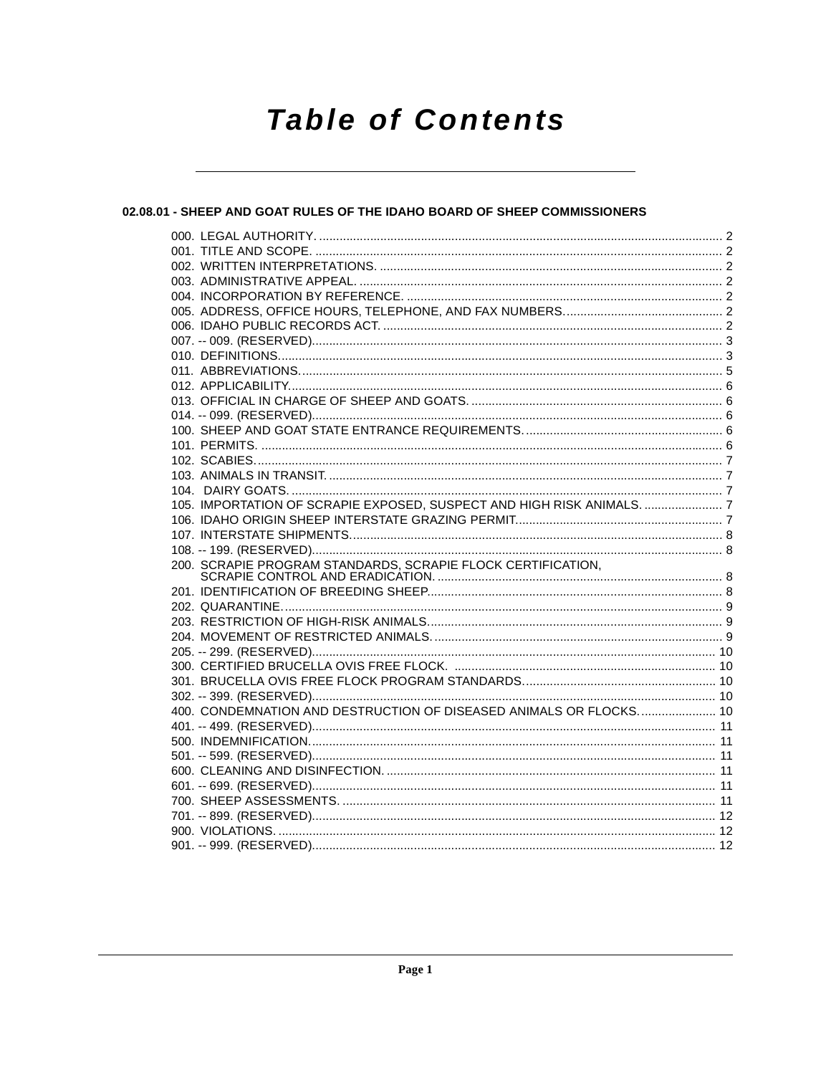# **Table of Contents**

# 02.08.01 - SHEEP AND GOAT RULES OF THE IDAHO BOARD OF SHEEP COMMISSIONERS

|  | 105. IMPORTATION OF SCRAPIE EXPOSED, SUSPECT AND HIGH RISK ANIMALS.  7 |  |
|--|------------------------------------------------------------------------|--|
|  |                                                                        |  |
|  |                                                                        |  |
|  |                                                                        |  |
|  | 200. SCRAPIE PROGRAM STANDARDS, SCRAPIE FLOCK CERTIFICATION,           |  |
|  |                                                                        |  |
|  |                                                                        |  |
|  |                                                                        |  |
|  |                                                                        |  |
|  |                                                                        |  |
|  |                                                                        |  |
|  |                                                                        |  |
|  |                                                                        |  |
|  |                                                                        |  |
|  | 400. CONDEMNATION AND DESTRUCTION OF DISEASED ANIMALS OR FLOCKS 10     |  |
|  |                                                                        |  |
|  |                                                                        |  |
|  |                                                                        |  |
|  |                                                                        |  |
|  |                                                                        |  |
|  |                                                                        |  |
|  |                                                                        |  |
|  |                                                                        |  |
|  |                                                                        |  |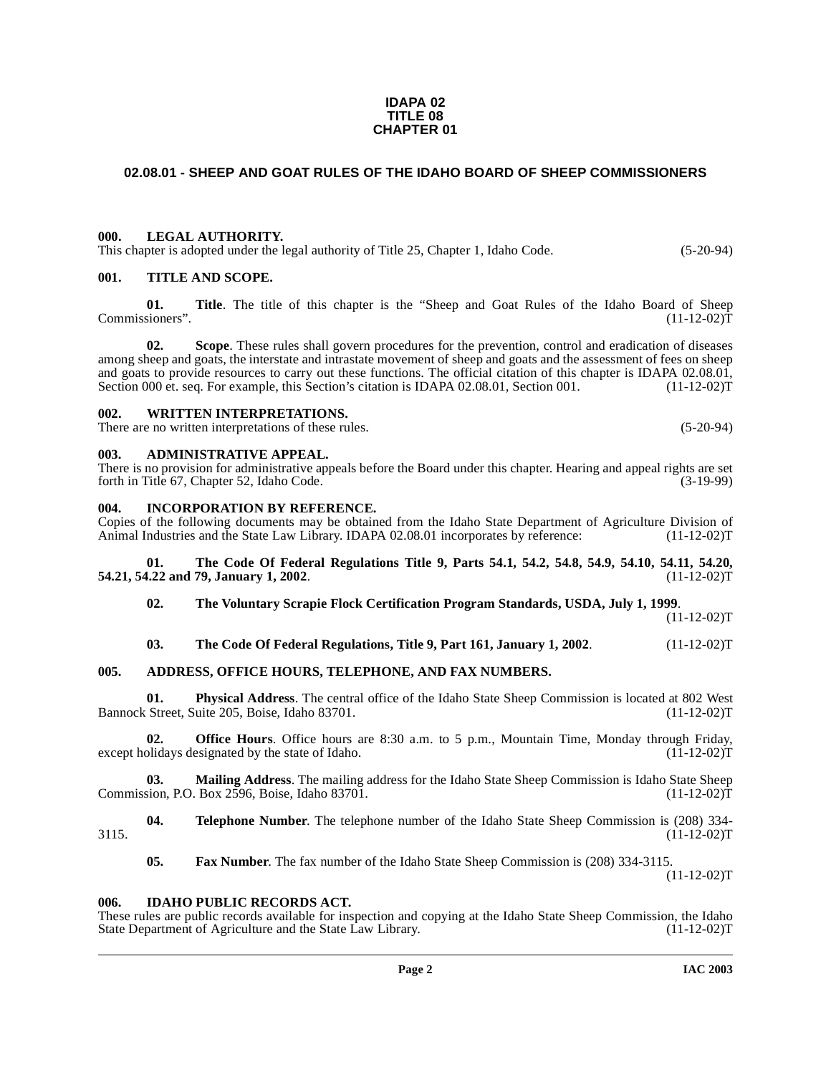#### **IDAPA 02 TITLE 08 CHAPTER 01**

# <span id="page-1-0"></span>**02.08.01 - SHEEP AND GOAT RULES OF THE IDAHO BOARD OF SHEEP COMMISSIONERS**

#### <span id="page-1-1"></span>**000. LEGAL AUTHORITY.**

This chapter is adopted under the legal authority of Title 25, Chapter 1, Idaho Code. (5-20-94)

#### <span id="page-1-2"></span>**001. TITLE AND SCOPE.**

**01.** Title. The title of this chapter is the "Sheep and Goat Rules of the Idaho Board of Sheep sioners". (11-12-02) Commissioners".

**02. Scope**. These rules shall govern procedures for the prevention, control and eradication of diseases among sheep and goats, the interstate and intrastate movement of sheep and goats and the assessment of fees on sheep and goats to provide resources to carry out these functions. The official citation of this chapter is IDAPA 02.08.01, Section 000 et. seq. For example, this Section's citation is IDAPA 02.08.01, Section 001. (11-12-02)T Section 000 et. seq. For example, this Section's citation is IDAPA 02.08.01, Section 001.

#### <span id="page-1-3"></span>**002. WRITTEN INTERPRETATIONS.**

There are no written interpretations of these rules. (5-20-94)

#### <span id="page-1-4"></span>**003. ADMINISTRATIVE APPEAL.**

There is no provision for administrative appeals before the Board under this chapter. Hearing and appeal rights are set forth in Title 67. Chapter 52. Idaho Code. forth in Title 67, Chapter 52, Idaho Code.

#### <span id="page-1-5"></span>**004. INCORPORATION BY REFERENCE.**

Copies of the following documents may be obtained from the Idaho State Department of Agriculture Division of Animal Industries and the State Law Library. IDAPA 02.08.01 incorporates by reference: (11-12-02)T Animal Industries and the State Law Library. IDAPA 02.08.01 incorporates by reference:

#### **01. The Code Of Federal Regulations Title 9, Parts 54.1, 54.2, 54.8, 54.9, 54.10, 54.11, 54.20, 54.21, 54.22 and 79, January 1, 2002.**

#### **02. The Voluntary Scrapie Flock Certification Program Standards, USDA, July 1, 1999**.

 $(11-12-02)T$ 

### **03.** The Code Of Federal Regulations, Title 9, Part 161, January 1, 2002. (11-12-02)T

#### <span id="page-1-6"></span>**005. ADDRESS, OFFICE HOURS, TELEPHONE, AND FAX NUMBERS.**

**01. Physical Address**. The central office of the Idaho State Sheep Commission is located at 802 West Bannock Street, Suite 205, Boise, Idaho 83701. (11-12-02)T

**02. Office Hours**. Office hours are 8:30 a.m. to 5 p.m., Mountain Time, Monday through Friday, bidays designated by the state of Idaho. (11-12-02) except holidays designated by the state of Idaho.

**03. Mailing Address**. The mailing address for the Idaho State Sheep Commission is Idaho State Sheep Commission, P.O. Box 2596, Boise, Idaho 83701.

**04. Telephone Number**. The telephone number of the Idaho State Sheep Commission is (208) 334-<br>(11-12-02)T  $3115.$  (11-12-02)T

**05. Fax Number**. The fax number of the Idaho State Sheep Commission is (208) 334-3115.

 $(11-12-02)T$ 

#### <span id="page-1-7"></span>**006. IDAHO PUBLIC RECORDS ACT.**

These rules are public records available for inspection and copying at the Idaho State Sheep Commission, the Idaho State Department of Agriculture and the State Law Library. (11-12-02) State Department of Agriculture and the State Law Library.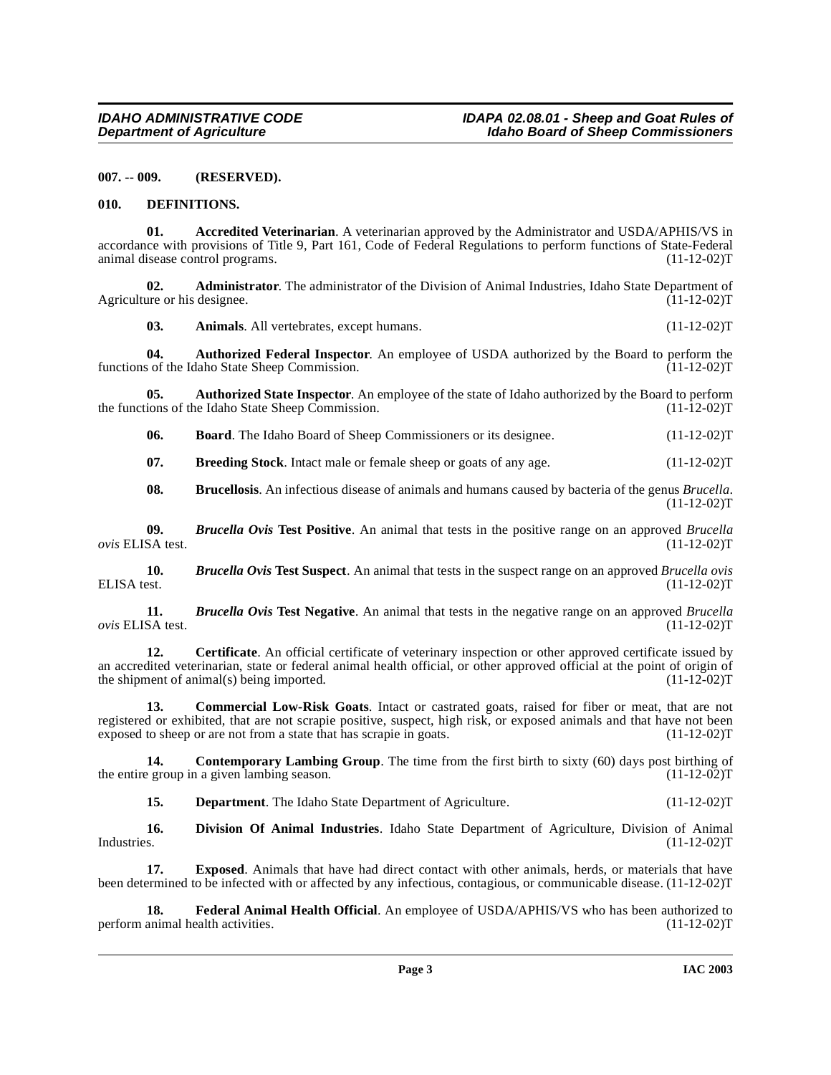<span id="page-2-0"></span>**007. -- 009. (RESERVED).**

#### <span id="page-2-7"></span><span id="page-2-1"></span>**010. DEFINITIONS.**

**01. Accredited Veterinarian**. A veterinarian approved by the Administrator and USDA/APHIS/VS in accordance with provisions of Title 9, Part 161, Code of Federal Regulations to perform functions of State-Federal animal disease control programs. (11-12-02)T animal disease control programs.

**02. Administrator**. The administrator of the Division of Animal Industries, Idaho State Department of the or his designee. (11-12-02) Agriculture or his designee.

**03.** Animals. All vertebrates, except humans. (11-12-02)T

**04.** Authorized Federal Inspector. An employee of USDA authorized by the Board to perform the so of the Idaho State Sheep Commission. (11-12-02) functions of the Idaho State Sheep Commission.

**05. Authorized State Inspector**. An employee of the state of Idaho authorized by the Board to perform the functions of the Idaho State Sheep Commission. (11-12-02)T

**06. Board**. The Idaho Board of Sheep Commissioners or its designee. (11-12-02)T

<span id="page-2-2"></span>**07.** Breeding Stock. Intact male or female sheep or goats of any age.  $(11-12-02)T$ 

<span id="page-2-4"></span>**08. Brucellosis**. An infectious disease of animals and humans caused by bacteria of the genus *Brucella*.  $(11-12-02)T$ 

**09.** *Brucella Ovis* **Test Positive**. An animal that tests in the positive range on an approved *Brucella*   $ovis$  ELISA test.

**10.** *Brucella Ovis* **Test Suspect**. An animal that tests in the suspect range on an approved *Brucella ovis* **ELISA** test. (11-12-02)T ELISA test. (11-12-02)T

<span id="page-2-3"></span>**11.** *Brucella Ovis* **Test Negative**. An animal that tests in the negative range on an approved *Brucella*   $ovis$  ELISA test.

**12. Certificate**. An official certificate of veterinary inspection or other approved certificate issued by an accredited veterinarian, state or federal animal health official, or other approved official at the point of origin of the shipment of animal(s) being imported. (11-12-02) the shipment of animal(s) being imported.

<span id="page-2-5"></span>**13. Commercial Low-Risk Goats**. Intact or castrated goats, raised for fiber or meat, that are not registered or exhibited, that are not scrapie positive, suspect, high risk, or exposed animals and that have not been exposed to sheep or are not from a state that has scrapie in goats. (11-12-02)T

**14. Contemporary Lambing Group**. The time from the first birth to sixty (60) days post birthing of a given lambing season. (11-12-02) the entire group in a given lambing season.

<span id="page-2-6"></span>**15. Department**. The Idaho State Department of Agriculture. (11-12-02)T

**16. Division Of Animal Industries**. Idaho State Department of Agriculture, Division of Animal Industries. (11-12-02)T

**17. Exposed**. Animals that have had direct contact with other animals, herds, or materials that have been determined to be infected with or affected by any infectious, contagious, or communicable disease. (11-12-02)T

<span id="page-2-8"></span>**18. Federal Animal Health Official**. An employee of USDA/APHIS/VS who has been authorized to animal health activities. (11-12-02) perform animal health activities.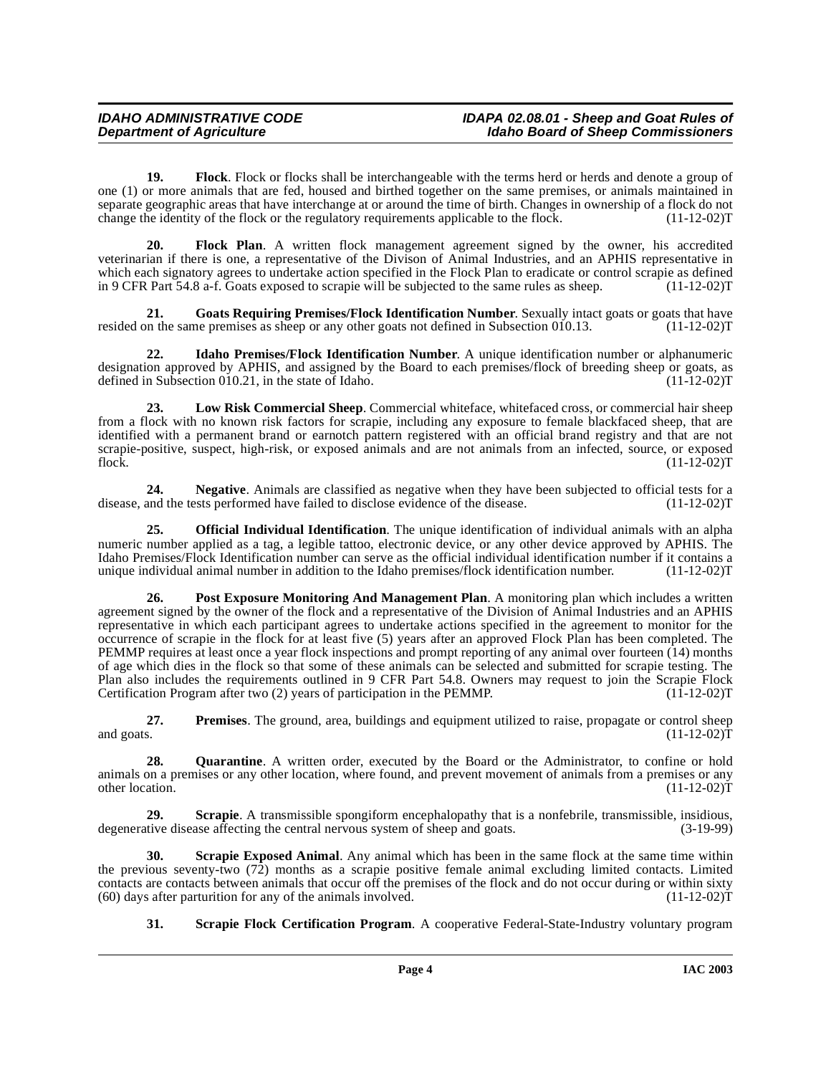<span id="page-3-0"></span>**19. Flock**. Flock or flocks shall be interchangeable with the terms herd or herds and denote a group of one (1) or more animals that are fed, housed and birthed together on the same premises, or animals maintained in separate geographic areas that have interchange at or around the time of birth. Changes in ownership of a flock do not change the identity of the flock or the regulatory requirements applicable to the flock. (11-12-02)T

**20. Flock Plan**. A written flock management agreement signed by the owner, his accredited veterinarian if there is one, a representative of the Divison of Animal Industries, and an APHIS representative in which each signatory agrees to undertake action specified in the Flock Plan to eradicate or control scrapie as defined in 9 CFR Part 54.8 a-f. Goats exposed to scrapie will be subjected to the same rules as sheep. (11-12-02)T

<span id="page-3-1"></span>**21.** Goats Requiring Premises/Flock Identification Number. Sexually intact goats or goats that have on the same premises as sheep or any other goats not defined in Subsection 010.13. (11-12-02) resided on the same premises as sheep or any other goats not defined in Subsection 010.13.

<span id="page-3-2"></span>**22. Idaho Premises/Flock Identification Number**. A unique identification number or alphanumeric designation approved by APHIS, and assigned by the Board to each premises/flock of breeding sheep or goats, as<br>defined in Subsection 010.21, in the state of Idaho. (11-12-02) defined in Subsection  $010.21$ , in the state of Idaho.

**23. Low Risk Commercial Sheep**. Commercial whiteface, whitefaced cross, or commercial hair sheep from a flock with no known risk factors for scrapie, including any exposure to female blackfaced sheep, that are identified with a permanent brand or earnotch pattern registered with an official brand registry and that are not scrapie-positive, suspect, high-risk, or exposed animals and are not animals from an infected, source, or exposed<br>flock. (11-12-02) flock.  $(11-12-02)T$ 

**24.** Negative. Animals are classified as negative when they have been subjected to official tests for a and the tests performed have failed to disclose evidence of the disease. (11-12-02) disease, and the tests performed have failed to disclose evidence of the disease.

<span id="page-3-3"></span>**25. Official Individual Identification**. The unique identification of individual animals with an alpha numeric number applied as a tag, a legible tattoo, electronic device, or any other device approved by APHIS. The Idaho Premises/Flock Identification number can serve as the official individual identification number if it contains a unique individual animal number in addition to the Idaho premises/flock identification number.

<span id="page-3-4"></span>**26. Post Exposure Monitoring And Management Plan**. A monitoring plan which includes a written agreement signed by the owner of the flock and a representative of the Division of Animal Industries and an APHIS representative in which each participant agrees to undertake actions specified in the agreement to monitor for the occurrence of scrapie in the flock for at least five (5) years after an approved Flock Plan has been completed. The PEMMP requires at least once a year flock inspections and prompt reporting of any animal over fourteen (14) months of age which dies in the flock so that some of these animals can be selected and submitted for scrapie testing. The Plan also includes the requirements outlined in 9 CFR Part 54.8. Owners may request to join the Scrapie Flock<br>Certification Program after two (2) years of participation in the PEMMP. (11-12-02) Certification Program after two  $(2)$  years of participation in the PEMMP.

**27. Premises**. The ground, area, buildings and equipment utilized to raise, propagate or control sheep and goats.  $(11-12-02)\bar{T}$ 

28. **Quarantine**. A written order, executed by the Board or the Administrator, to confine or hold animals on a premises or any other location, where found, and prevent movement of animals from a premises or any other location. (11-12-02)T

<span id="page-3-5"></span>**29. Scrapie**. A transmissible spongiform encephalopathy that is a nonfebrile, transmissible, insidious, tive disease affecting the central nervous system of sheep and goats. (3-19-99) degenerative disease affecting the central nervous system of sheep and goats.

**30. Scrapie Exposed Animal**. Any animal which has been in the same flock at the same time within the previous seventy-two (72) months as a scrapie positive female animal excluding limited contacts. Limited contacts are contacts between animals that occur off the premises of the flock and do not occur during or within sixty (60) days after parturition for any of the animals involved. (11-12-02)  $(60)$  days after parturition for any of the animals involved.

<span id="page-3-7"></span><span id="page-3-6"></span>**31. Scrapie Flock Certification Program**. A cooperative Federal-State-Industry voluntary program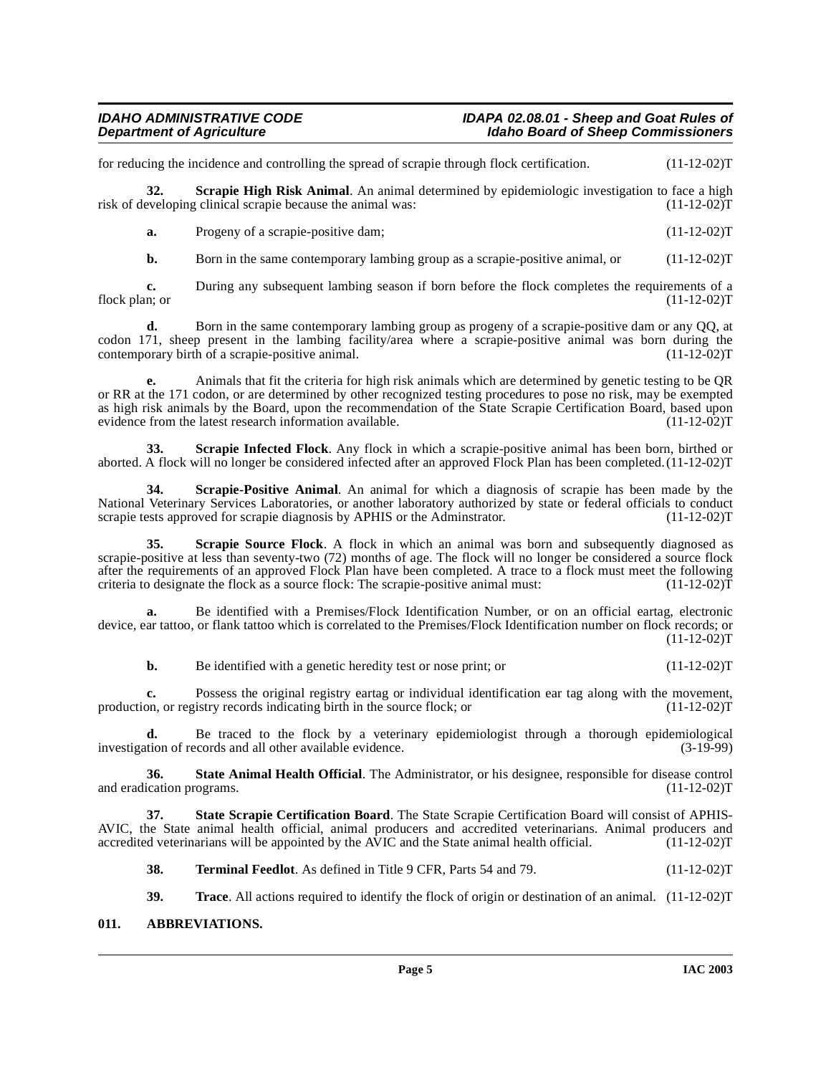for reducing the incidence and controlling the spread of scrapie through flock certification. (11-12-02)T

**32.** Scrapie High Risk Animal. An animal determined by epidemiologic investigation to face a high eveloping clinical scrapie because the animal was: (11-12-02) risk of developing clinical scrapie because the animal was:

<span id="page-4-1"></span>**a.** Progeny of a scrapie-positive dam; (11-12-02)T

**b.** Born in the same contemporary lambing group as a scrapie-positive animal, or (11-12-02)T

**c.** During any subsequent lambing season if born before the flock completes the requirements of a n; or (11-12-02) flock plan; or  $(11-12-02)$ T

**d.** Born in the same contemporary lambing group as progeny of a scrapie-positive dam or any QQ, at codon 171, sheep present in the lambing facility/area where a scrapie-positive animal was born during the contemporary birth of a scrapie-positive animal. (11-12-02)T

**e.** Animals that fit the criteria for high risk animals which are determined by genetic testing to be QR or RR at the 171 codon, or are determined by other recognized testing procedures to pose no risk, may be exempted as high risk animals by the Board, upon the recommendation of the State Scrapie Certification Board, based upon evidence from the latest research information available. (11-12-02)T

<span id="page-4-2"></span>**33. Scrapie Infected Flock**. Any flock in which a scrapie-positive animal has been born, birthed or aborted. A flock will no longer be considered infected after an approved Flock Plan has been completed.(11-12-02)T

<span id="page-4-4"></span>**34. Scrapie-Positive Animal**. An animal for which a diagnosis of scrapie has been made by the National Veterinary Services Laboratories, or another laboratory authorized by state or federal officials to conduct scrapie tests approved for scrapie diagnosis by APHIS or the Administrator. (11-12-02) scrapie tests approved for scrapie diagnosis by APHIS or the Adminstrator.

<span id="page-4-3"></span>**Scrapie Source Flock**. A flock in which an animal was born and subsequently diagnosed as scrapie-positive at less than seventy-two (72) months of age. The flock will no longer be considered a source flock after the requirements of an approved Flock Plan have been completed. A trace to a flock must meet the following criteria to designate the flock as a source flock: The scrapie-positive animal must: (11-12-02) criteria to designate the flock as a source flock: The scrapie-positive animal must:

**a.** Be identified with a Premises/Flock Identification Number, or on an official eartag, electronic device, ear tattoo, or flank tattoo which is correlated to the Premises/Flock Identification number on flock records; or  $(11-12-02)T$ 

**b.** Be identified with a genetic heredity test or nose print; or  $(11-12-02)$ T

**c.** Possess the original registry eartag or individual identification ear tag along with the movement, on, or registry records indicating birth in the source flock; or production, or registry records indicating birth in the source flock; or

**d.** Be traced to the flock by a veterinary epidemiologist through a thorough epidemiological tion of records and all other available evidence. (3-19-99) investigation of records and all other available evidence.

**36.** State Animal Health Official. The Administrator, or his designee, responsible for disease control ication programs. (11-12-02) and eradication programs.

**37. State Scrapie Certification Board**. The State Scrapie Certification Board will consist of APHIS-AVIC, the State animal health official, animal producers and accredited veterinarians. Animal producers and accredited veterinarians will be appointed by the AVIC and the State animal health official. (11-12-02)T accredited veterinarians will be appointed by the AVIC and the State animal health official.

**38. Terminal Feedlot**. As defined in Title 9 CFR, Parts 54 and 79. (11-12-02)T

**39. Trace**. All actions required to identify the flock of origin or destination of an animal. (11-12-02)T

#### <span id="page-4-0"></span>**011. ABBREVIATIONS.**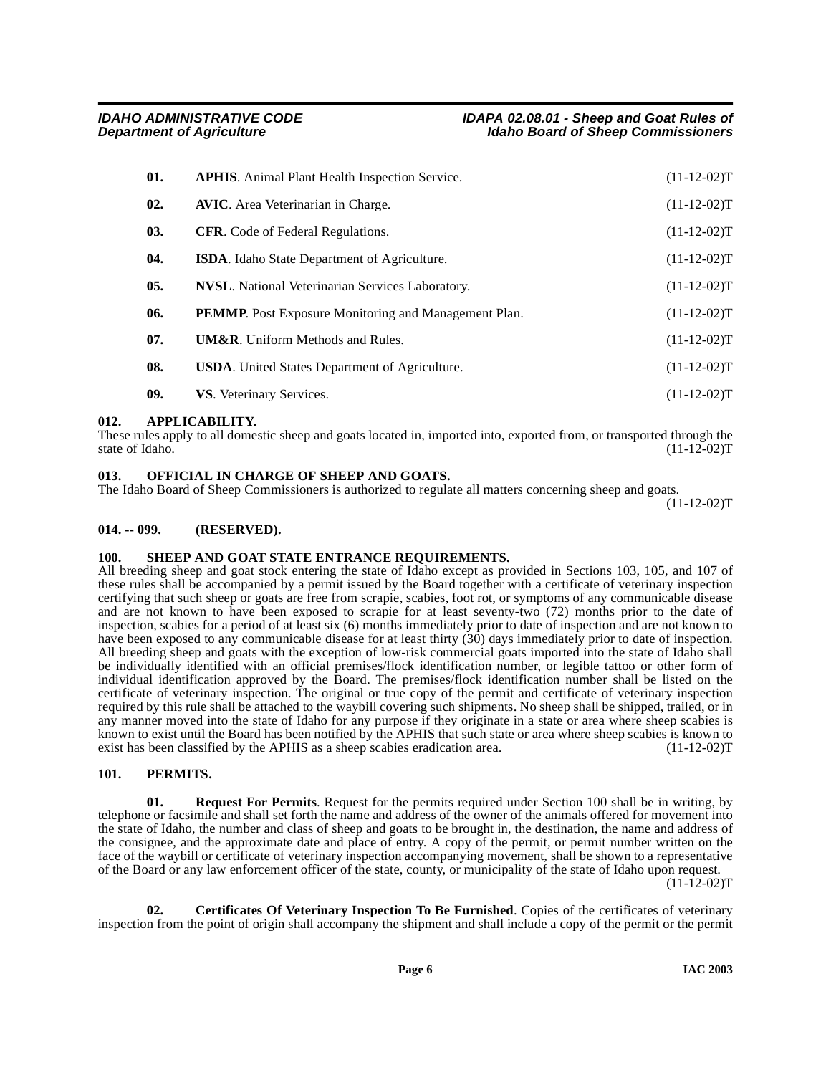| 01. | <b>APHIS.</b> Animal Plant Health Inspection Service.       | $(11-12-02)T$ |
|-----|-------------------------------------------------------------|---------------|
| 02. | <b>AVIC.</b> Area Veterinarian in Charge.                   | $(11-12-02)T$ |
| 03. | <b>CFR.</b> Code of Federal Regulations.                    | $(11-12-02)T$ |
| 04. | <b>ISDA.</b> Idaho State Department of Agriculture.         | $(11-12-02)T$ |
| 05. | <b>NVSL.</b> National Veterinarian Services Laboratory.     | $(11-12-02)T$ |
| 06. | <b>PEMMP.</b> Post Exposure Monitoring and Management Plan. | $(11-12-02)T$ |
| 07. | <b>UM&amp;R.</b> Uniform Methods and Rules.                 | $(11-12-02)T$ |
| 08. | <b>USDA.</b> United States Department of Agriculture.       | $(11-12-02)T$ |
| 09. | VS. Veterinary Services.                                    | $(11-12-02)T$ |

### <span id="page-5-0"></span>**012. APPLICABILITY.**

These rules apply to all domestic sheep and goats located in, imported into, exported from, or transported through the state of Idaho. (11-12-02)T state of Idaho. (11-12-02)T

### <span id="page-5-6"></span><span id="page-5-1"></span>**013. OFFICIAL IN CHARGE OF SHEEP AND GOATS.**

The Idaho Board of Sheep Commissioners is authorized to regulate all matters concerning sheep and goats.

 $(11-12-02)T$ 

### <span id="page-5-2"></span>**014. -- 099. (RESERVED).**

### <span id="page-5-9"></span><span id="page-5-3"></span>**100. SHEEP AND GOAT STATE ENTRANCE REQUIREMENTS.**

All breeding sheep and goat stock entering the state of Idaho except as provided in Sections 103, 105, and 107 of these rules shall be accompanied by a permit issued by the Board together with a certificate of veterinary inspection certifying that such sheep or goats are free from scrapie, scabies, foot rot, or symptoms of any communicable disease and are not known to have been exposed to scrapie for at least seventy-two (72) months prior to the date of inspection, scabies for a period of at least six (6) months immediately prior to date of inspection and are not known to have been exposed to any communicable disease for at least thirty (30) days immediately prior to date of inspection. All breeding sheep and goats with the exception of low-risk commercial goats imported into the state of Idaho shall be individually identified with an official premises/flock identification number, or legible tattoo or other form of individual identification approved by the Board. The premises/flock identification number shall be listed on the certificate of veterinary inspection. The original or true copy of the permit and certificate of veterinary inspection required by this rule shall be attached to the waybill covering such shipments. No sheep shall be shipped, trailed, or in any manner moved into the state of Idaho for any purpose if they originate in a state or area where sheep scabies is known to exist until the Board has been notified by the APHIS that such state or area where sheep scabies is known to exist has been classified by the APHIS as a sheep scabies eradication area.  $(11-12-02)T$ 

### <span id="page-5-8"></span><span id="page-5-7"></span><span id="page-5-4"></span>**101. PERMITS.**

**Request For Permits**. Request for the permits required under Section 100 shall be in writing, by telephone or facsimile and shall set forth the name and address of the owner of the animals offered for movement into the state of Idaho, the number and class of sheep and goats to be brought in, the destination, the name and address of the consignee, and the approximate date and place of entry. A copy of the permit, or permit number written on the face of the waybill or certificate of veterinary inspection accompanying movement, shall be shown to a representative of the Board or any law enforcement officer of the state, county, or municipality of the state of Idaho upon request.

 $(11 - 12 - 02)T$ 

<span id="page-5-5"></span>**02. Certificates Of Veterinary Inspection To Be Furnished**. Copies of the certificates of veterinary inspection from the point of origin shall accompany the shipment and shall include a copy of the permit or the permit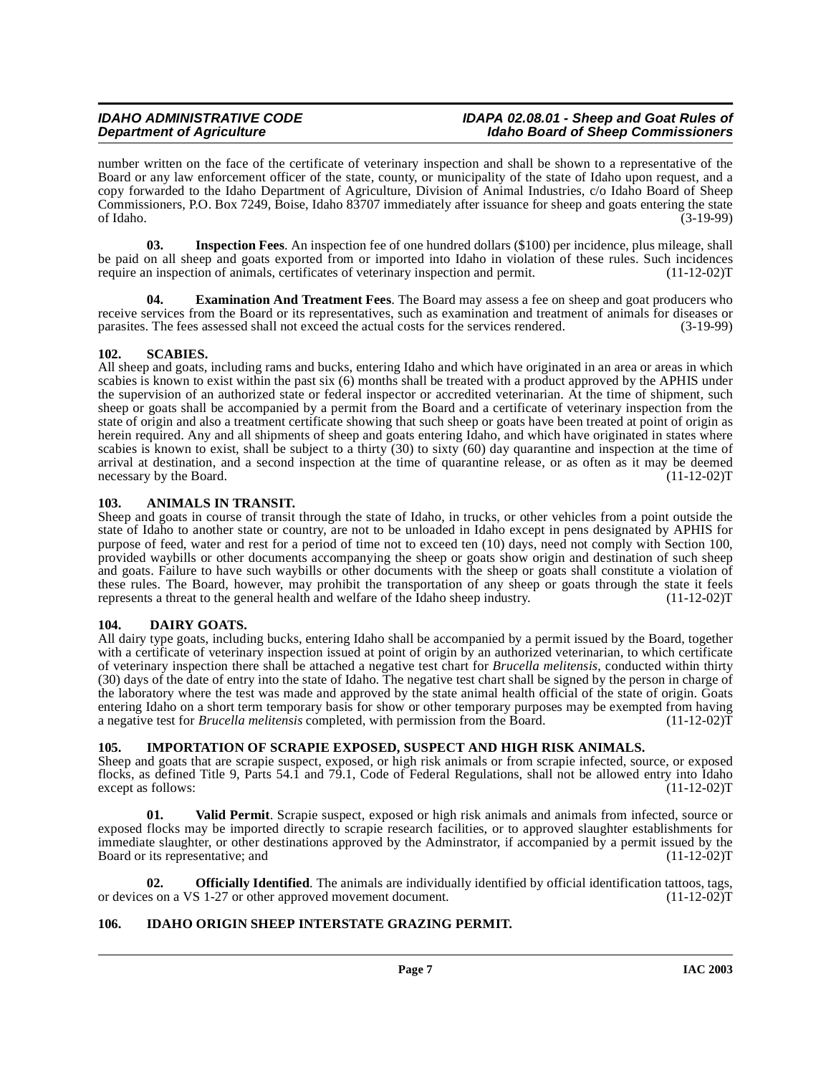#### **IDAHO ADMINISTRATIVE CODE IDAPA 02.08.01 - Sheep and Goat Rules of Idaho Board of Sheep Commissioners**

number written on the face of the certificate of veterinary inspection and shall be shown to a representative of the Board or any law enforcement officer of the state, county, or municipality of the state of Idaho upon request, and a copy forwarded to the Idaho Department of Agriculture, Division of Animal Industries, c/o Idaho Board of Sheep Commissioners, P.O. Box 7249, Boise, Idaho 83707 immediately after issuance for sheep and goats entering the state of Idaho. (3-19-99) of Idaho. (3-19-99)

<span id="page-6-10"></span>**03. Inspection Fees**. An inspection fee of one hundred dollars (\$100) per incidence, plus mileage, shall be paid on all sheep and goats exported from or imported into Idaho in violation of these rules. Such incidences require an inspection of animals, certificates of veterinary inspection and permit. (11-12-02)T

<span id="page-6-7"></span>**04. Examination And Treatment Fees**. The Board may assess a fee on sheep and goat producers who receive services from the Board or its representatives, such as examination and treatment of animals for diseases or<br>parasites. The fees assessed shall not exceed the actual costs for the services rendered. (3-19-99) parasites. The fees assessed shall not exceed the actual costs for the services rendered.

### <span id="page-6-11"></span><span id="page-6-0"></span>**102. SCABIES.**

All sheep and goats, including rams and bucks, entering Idaho and which have originated in an area or areas in which scabies is known to exist within the past six (6) months shall be treated with a product approved by the APHIS under the supervision of an authorized state or federal inspector or accredited veterinarian. At the time of shipment, such sheep or goats shall be accompanied by a permit from the Board and a certificate of veterinary inspection from the state of origin and also a treatment certificate showing that such sheep or goats have been treated at point of origin as herein required. Any and all shipments of sheep and goats entering Idaho, and which have originated in states where scabies is known to exist, shall be subject to a thirty (30) to sixty (60) day quarantine and inspection at the time of arrival at destination, and a second inspection at the time of quarantine release, or as often as it may be deemed<br>necessary by the Board. (11-12-02) necessary by the Board.

# <span id="page-6-5"></span><span id="page-6-1"></span>**103. ANIMALS IN TRANSIT.**

Sheep and goats in course of transit through the state of Idaho, in trucks, or other vehicles from a point outside the state of Idaho to another state or country, are not to be unloaded in Idaho except in pens designated by APHIS for purpose of feed, water and rest for a period of time not to exceed ten (10) days, need not comply with Section 100, provided waybills or other documents accompanying the sheep or goats show origin and destination of such sheep and goats. Failure to have such waybills or other documents with the sheep or goats shall constitute a violation of these rules. The Board, however, may prohibit the transportation of any sheep or goats through the state it feels represents a threat to the general health and welfare of the Idaho sheep industry. (11-12-02)T

### <span id="page-6-6"></span><span id="page-6-2"></span>**104. DAIRY GOATS.**

All dairy type goats, including bucks, entering Idaho shall be accompanied by a permit issued by the Board, together with a certificate of veterinary inspection issued at point of origin by an authorized veterinarian, to which certificate of veterinary inspection there shall be attached a negative test chart for *Brucella melitensis*, conducted within thirty (30) days of the date of entry into the state of Idaho. The negative test chart shall be signed by the person in charge of the laboratory where the test was made and approved by the state animal health official of the state of origin. Goats entering Idaho on a short term temporary basis for show or other temporary purposes may be exempted from having a negative test for *Brucella melitensis* completed, with permission from the Board. (11-12-02)T

### <span id="page-6-9"></span><span id="page-6-3"></span>**105. IMPORTATION OF SCRAPIE EXPOSED, SUSPECT AND HIGH RISK ANIMALS.**

Sheep and goats that are scrapie suspect, exposed, or high risk animals or from scrapie infected, source, or exposed flocks, as defined Title 9, Parts 54.1 and 79.1, Code of Federal Regulations, shall not be allowed entry into Idaho except as follows: (11-12-02)T

**01. Valid Permit**. Scrapie suspect, exposed or high risk animals and animals from infected, source or exposed flocks may be imported directly to scrapie research facilities, or to approved slaughter establishments for immediate slaughter, or other destinations approved by the Adminstrator, if accompanied by a permit issued by the Board or its representative; and (11-12-02)T

**02. Officially Identified**. The animals are individually identified by official identification tattoos, tags, ss on a VS 1-27 or other approved movement document. (11-12-02) or devices on a VS 1-27 or other approved movement document.

### <span id="page-6-8"></span><span id="page-6-4"></span>**106. IDAHO ORIGIN SHEEP INTERSTATE GRAZING PERMIT.**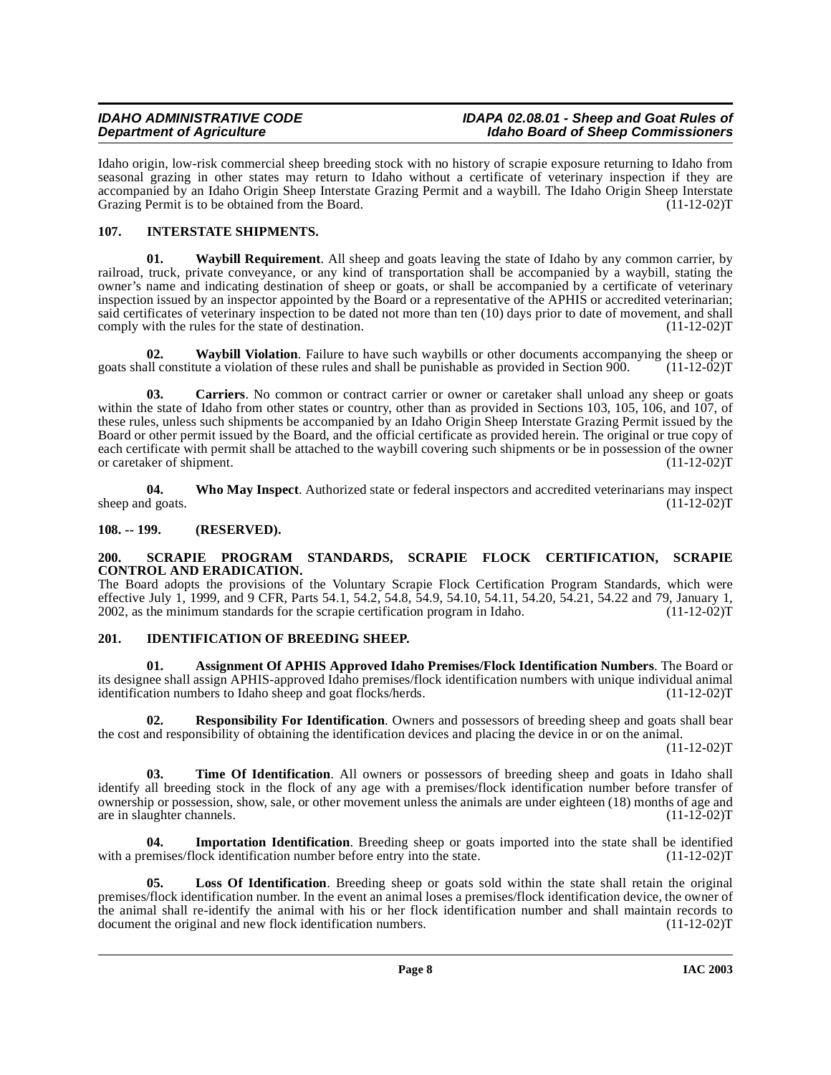Idaho origin, low-risk commercial sheep breeding stock with no history of scrapie exposure returning to Idaho from seasonal grazing in other states may return to Idaho without a certificate of veterinary inspection if they are accompanied by an Idaho Origin Sheep Interstate Grazing Permit and a waybill. The Idaho Origin Sheep Interstate Grazing Permit is to be obtained from the Board. (11-12-02)T

# <span id="page-7-8"></span><span id="page-7-0"></span>**107. INTERSTATE SHIPMENTS.**

<span id="page-7-12"></span>**01. Waybill Requirement**. All sheep and goats leaving the state of Idaho by any common carrier, by railroad, truck, private conveyance, or any kind of transportation shall be accompanied by a waybill, stating the owner's name and indicating destination of sheep or goats, or shall be accompanied by a certificate of veterinary inspection issued by an inspector appointed by the Board or a representative of the APHIS or accredited veterinarian; said certificates of veterinary inspection to be dated not more than ten (10) days prior to date of movement, and shall comply with the rules for the state of destination.  $(11-12-02)T$ comply with the rules for the state of destination.

<span id="page-7-13"></span>**02. Waybill Violation**. Failure to have such waybills or other documents accompanying the sheep or all constitute a violation of these rules and shall be punishable as provided in Section 900. (11-12-02)T goats shall constitute a violation of these rules and shall be punishable as provided in Section 900.

<span id="page-7-5"></span>**03. Carriers**. No common or contract carrier or owner or caretaker shall unload any sheep or goats within the state of Idaho from other states or country, other than as provided in Sections 103, 105, 106, and 107, of these rules, unless such shipments be accompanied by an Idaho Origin Sheep Interstate Grazing Permit issued by the Board or other permit issued by the Board, and the official certificate as provided herein. The original or true copy of each certificate with permit shall be attached to the waybill covering such shipments or be in possession of the owner<br>or caretaker of shipment. (11-12-02)T or caretaker of shipment.

<span id="page-7-14"></span>**04.** Who May Inspect. Authorized state or federal inspectors and accredited veterinarians may inspect d goats. (11-12-02) sheep and goats.

# <span id="page-7-1"></span>**108. -- 199. (RESERVED).**

#### <span id="page-7-11"></span><span id="page-7-2"></span>**200. SCRAPIE PROGRAM STANDARDS, SCRAPIE FLOCK CERTIFICATION, SCRAPIE CONTROL AND ERADICATION.**

The Board adopts the provisions of the Voluntary Scrapie Flock Certification Program Standards, which were effective July 1, 1999, and 9 CFR, Parts 54.1, 54.2, 54.8, 54.9, 54.10, 54.11, 54.20, 54.21, 54.22 and 79, January 1, 2002, as the minimum standards for the scrapie certification program in Idaho.  $(11-12-02)$ T 2002, as the minimum standards for the scrapie certification program in Idaho.

### <span id="page-7-6"></span><span id="page-7-3"></span>**201. IDENTIFICATION OF BREEDING SHEEP.**

<span id="page-7-4"></span>**01. Assignment Of APHIS Approved Idaho Premises/Flock Identification Numbers**. The Board or its designee shall assign APHIS-approved Idaho premises/flock identification numbers with unique individual animal identification numbers to Idaho sheep and goat flocks/herds.

<span id="page-7-10"></span>**02. Responsibility For Identification**. Owners and possessors of breeding sheep and goats shall bear the cost and responsibility of obtaining the identification devices and placing the device in or on the animal.

(11-12-02)T

**03. Time Of Identification**. All owners or possessors of breeding sheep and goats in Idaho shall identify all breeding stock in the flock of any age with a premises/flock identification number before transfer of ownership or possession, show, sale, or other movement unless the animals are under eighteen (18) months of age and are in slaughter channels.

<span id="page-7-7"></span>**04. Importation Identification**. Breeding sheep or goats imported into the state shall be identified with a premises/flock identification number before entry into the state.  $(11-12-02)$ T

<span id="page-7-9"></span>**05. Loss Of Identification**. Breeding sheep or goats sold within the state shall retain the original premises/flock identification number. In the event an animal loses a premises/flock identification device, the owner of the animal shall re-identify the animal with his or her flock identification number and shall maintain records to document the original and new flock identification numbers. (11-12-02) document the original and new flock identification numbers.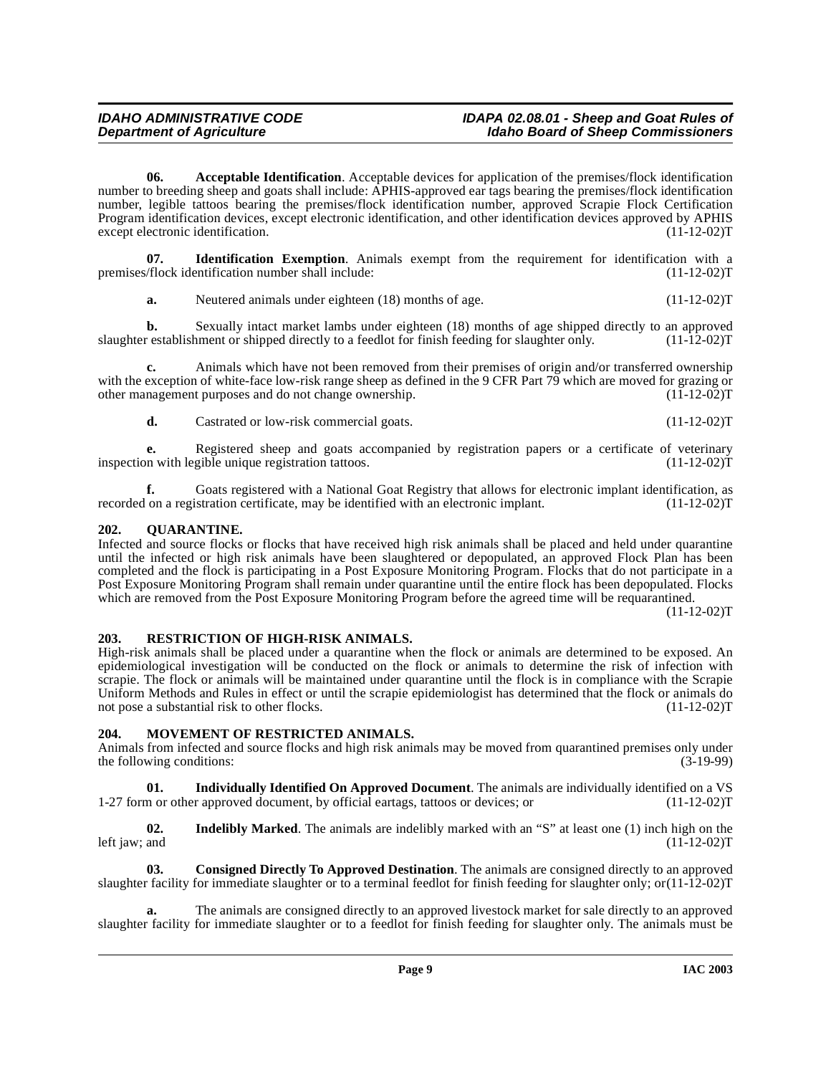**06. Acceptable Identification**. Acceptable devices for application of the premises/flock identification number to breeding sheep and goats shall include: APHIS-approved ear tags bearing the premises/flock identification number, legible tattoos bearing the premises/flock identification number, approved Scrapie Flock Certification Program identification devices, except electronic identification, and other identification devices approved by APHIS except electronic identification. (11-12-02)T

**07. Identification Exemption**. Animals exempt from the requirement for identification with a  $\frac{1}{1-12-02}$  (11-12-02) premises/flock identification number shall include:

**a.** Neutered animals under eighteen (18) months of age. (11-12-02) (11-12-02) T

**b.** Sexually intact market lambs under eighteen (18) months of age shipped directly to an approved restablishment or shipped directly to a feedlot for finish feeding for slaughter only. (11-12-02) slaughter establishment or shipped directly to a feedlot for finish feeding for slaughter only.

**c.** Animals which have not been removed from their premises of origin and/or transferred ownership with the exception of white-face low-risk range sheep as defined in the 9 CFR Part  $\overline{79}$  which are moved for grazing or other management purposes and do not change ownership. (11-12-02) other management purposes and do not change ownership.

**d.** Castrated or low-risk commercial goats. (11-12-02)T

**e.** Registered sheep and goats accompanied by registration papers or a certificate of veterinary on with legible unique registration tattoos. (11-12-02)T inspection with legible unique registration tattoos.

**f.** Goats registered with a National Goat Registry that allows for electronic implant identification, as on a registration certificate, may be identified with an electronic implant. (11-12-02) recorded on a registration certificate, may be identified with an electronic implant.

# <span id="page-8-6"></span><span id="page-8-0"></span>**202. QUARANTINE.**

Infected and source flocks or flocks that have received high risk animals shall be placed and held under quarantine until the infected or high risk animals have been slaughtered or depopulated, an approved Flock Plan has been completed and the flock is participating in a Post Exposure Monitoring Program. Flocks that do not participate in a Post Exposure Monitoring Program shall remain under quarantine until the entire flock has been depopulated. Flocks which are removed from the Post Exposure Monitoring Program before the agreed time will be requarantined.

 $(11-12-02)T$ 

### <span id="page-8-7"></span><span id="page-8-1"></span>**203. RESTRICTION OF HIGH-RISK ANIMALS.**

High-risk animals shall be placed under a quarantine when the flock or animals are determined to be exposed. An epidemiological investigation will be conducted on the flock or animals to determine the risk of infection with scrapie. The flock or animals will be maintained under quarantine until the flock is in compliance with the Scrapie Uniform Methods and Rules in effect or until the scrapie epidemiologist has determined that the flock or animals do not pose a substantial risk to other flocks. (11-12-02) not pose a substantial risk to other flocks.

### <span id="page-8-5"></span><span id="page-8-2"></span>**204. MOVEMENT OF RESTRICTED ANIMALS.**

Animals from infected and source flocks and high risk animals may be moved from quarantined premises only under<br>the following conditions: (3-19-99) the following conditions:

<span id="page-8-4"></span>**01. Individually Identified On Approved Document**. The animals are individually identified on a VS 1-27 form or other approved document, by official eartags, tattoos or devices; or (11-12-02)T

**02.** Indelibly Marked. The animals are indelibly marked with an "S" at least one (1) inch high on the and (11-12-02) left jaw; and

<span id="page-8-3"></span>**03. Consigned Directly To Approved Destination**. The animals are consigned directly to an approved slaughter facility for immediate slaughter or to a terminal feedlot for finish feeding for slaughter only; or $(11-12-02)$ T

**a.** The animals are consigned directly to an approved livestock market for sale directly to an approved slaughter facility for immediate slaughter or to a feedlot for finish feeding for slaughter only. The animals must be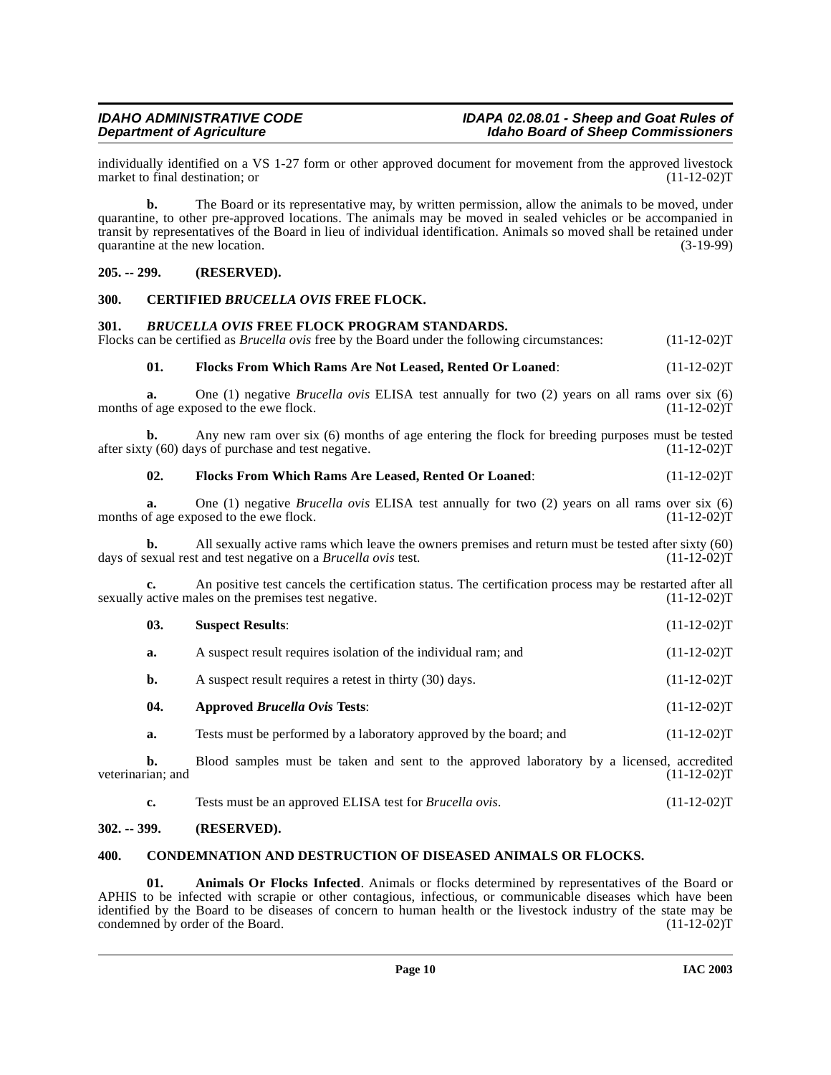individually identified on a VS 1-27 form or other approved document for movement from the approved livestock<br>market to final destination; or (11-12-02) market to final destination; or

**b.** The Board or its representative may, by written permission, allow the animals to be moved, under quarantine, to other pre-approved locations. The animals may be moved in sealed vehicles or be accompanied in transit by representatives of the Board in lieu of individual identification. Animals so moved shall be retained under quarantine at the new location. quarantine at the new location.

#### <span id="page-9-0"></span>**205. -- 299. (RESERVED).**

#### <span id="page-9-8"></span><span id="page-9-1"></span>**300. CERTIFIED** *BRUCELLA OVIS* **FREE FLOCK.**

#### <span id="page-9-7"></span><span id="page-9-2"></span>**301.** *BRUCELLA OVIS* **FREE FLOCK PROGRAM STANDARDS.**

Flocks can be certified as *Brucella ovis* free by the Board under the following circumstances: (11-12-02)T

#### <span id="page-9-11"></span>**01. Flocks From Which Rams Are Not Leased, Rented Or Loaned**: (11-12-02)T

**a.** One (1) negative *Brucella ovis* ELISA test annually for two (2) years on all rams over six (6) months of age exposed to the ewe flock. (11-12-02)T

**b.** Any new ram over six (6) months of age entering the flock for breeding purposes must be tested  $y(60)$  days of purchase and test negative. (11-12-02) after sixty  $(60)$  days of purchase and test negative.

#### <span id="page-9-10"></span>**02. Flocks From Which Rams Are Leased, Rented Or Loaned**: (11-12-02)T

**a.** One (1) negative *Brucella ovis* ELISA test annually for two (2) years on all rams over six (6) of age exposed to the ewe flock. (11-12-02) months of age exposed to the ewe flock.

All sexually active rams which leave the owners premises and return must be tested after sixty (60) t and test negative on a *Brucella ovis* test. (11-12-02) days of sexual rest and test negative on a *Brucella ovis* test.

**c.** An positive test cancels the certification status. The certification process may be restarted after all active males on the premises test negative. (11-12-02) sexually active males on the premises test negative.

# **03. Suspect Results**: (11-12-02)T

- **a.** A suspect result requires isolation of the individual ram; and  $(11-12-02)$ T
- **b.** A suspect result requires a retest in thirty (30) days. (11-12-02)T
- <span id="page-9-6"></span>**04. Approved** *Brucella Ovis* **Tests**: (11-12-02)T
- **a.** Tests must be performed by a laboratory approved by the board; and  $(11-12-02)$ T

**b.** Blood samples must be taken and sent to the approved laboratory by a licensed, accredited ian; and (11-12-02)T veterinarian; and

**c.** Tests must be an approved ELISA test for *Brucella ovis*. (11-12-02)T

#### <span id="page-9-3"></span>**302. -- 399. (RESERVED).**

#### <span id="page-9-9"></span><span id="page-9-4"></span>**400. CONDEMNATION AND DESTRUCTION OF DISEASED ANIMALS OR FLOCKS.**

<span id="page-9-5"></span>**01. Animals Or Flocks Infected**. Animals or flocks determined by representatives of the Board or APHIS to be infected with scrapie or other contagious, infectious, or communicable diseases which have been identified by the Board to be diseases of concern to human health or the livestock industry of the state may be condemned by order of the Board. (11-12-02) condemned by order of the Board.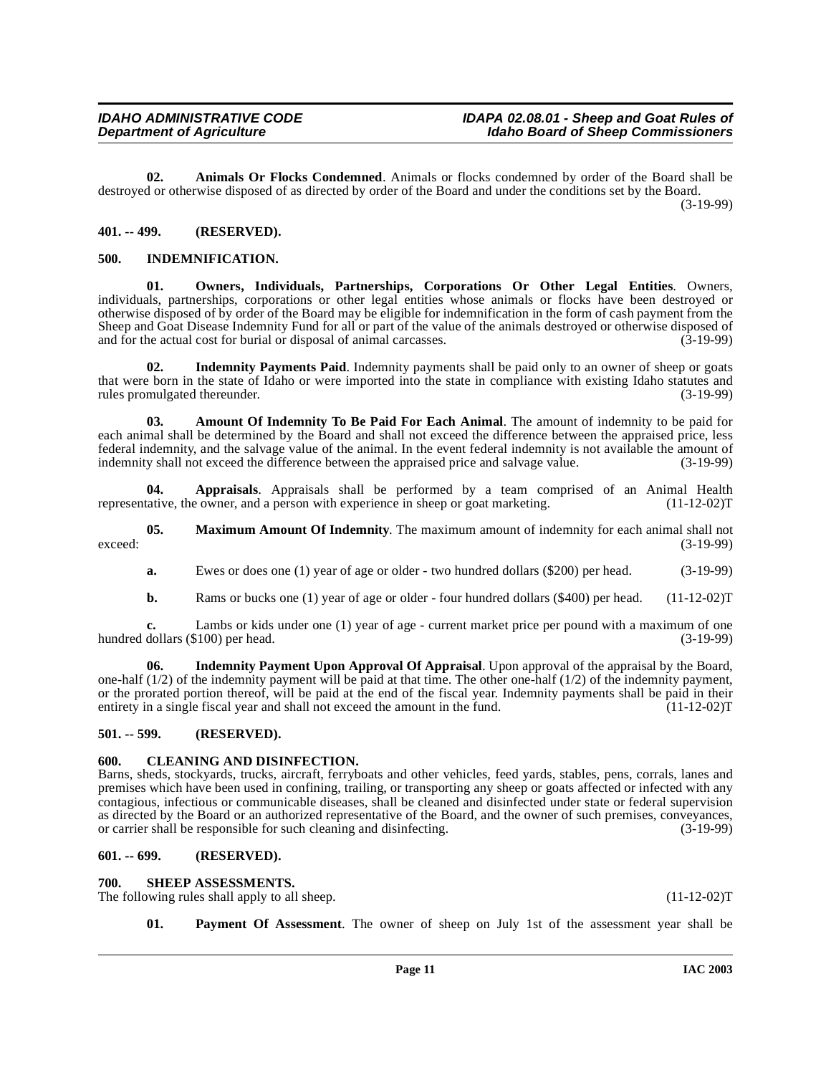<span id="page-10-7"></span>**02. Animals Or Flocks Condemned**. Animals or flocks condemned by order of the Board shall be destroyed or otherwise disposed of as directed by order of the Board and under the conditions set by the Board.

(3-19-99)

#### <span id="page-10-0"></span>**401. -- 499. (RESERVED).**

#### <span id="page-10-9"></span><span id="page-10-1"></span>**500. INDEMNIFICATION.**

<span id="page-10-13"></span>**01. Owners, Individuals, Partnerships, Corporations Or Other Legal Entities**. Owners, individuals, partnerships, corporations or other legal entities whose animals or flocks have been destroyed or otherwise disposed of by order of the Board may be eligible for indemnification in the form of cash payment from the Sheep and Goat Disease Indemnity Fund for all or part of the value of the animals destroyed or otherwise disposed of and for the actual cost for burial or disposal of animal carcasses. (3-19-99)

<span id="page-10-11"></span>**02.** Indemnity Payments Paid. Indemnity payments shall be paid only to an owner of sheep or goats that were born in the state of Idaho or were imported into the state in compliance with existing Idaho statutes and rules promulgated thereunder. (3-19-99) rules promulgated thereunder.

<span id="page-10-6"></span>**03. Amount Of Indemnity To Be Paid For Each Animal**. The amount of indemnity to be paid for each animal shall be determined by the Board and shall not exceed the difference between the appraised price, less federal indemnity, and the salvage value of the animal. In the event federal indemnity is not available the amount of indemnity shall not exceed the difference between the appraised price and salvage value. (3-19-99) indemnity shall not exceed the difference between the appraised price and salvage value.

**04. Appraisals**. Appraisals shall be performed by a team comprised of an Animal Health representative, the owner, and a person with experience in sheep or goat marketing. (11-12-02)T

**05. Maximum Amount Of Indemnity**. The maximum amount of indemnity for each animal shall not (3-19-99) exceed: (3-19-99)

<span id="page-10-12"></span>**a.** Ewes or does one (1) year of age or older - two hundred dollars (\$200) per head. (3-19-99)

<span id="page-10-10"></span>**b.** Rams or bucks one (1) year of age or older - four hundred dollars (\$400) per head. (11-12-02)T

**c.** Lambs or kids under one (1) year of age - current market price per pound with a maximum of one dollars (\$100) per head. (3-19-99) hundred dollars (\$100) per head.

**06. Indemnity Payment Upon Approval Of Appraisal**. Upon approval of the appraisal by the Board, one-half (1/2) of the indemnity payment will be paid at that time. The other one-half (1/2) of the indemnity payment, or the prorated portion thereof, will be paid at the end of the fiscal year. Indemnity payments shall be paid in their<br>entirety in a single fiscal year and shall not exceed the amount in the fund. (11-12-02) entirety in a single fiscal year and shall not exceed the amount in the fund.

#### <span id="page-10-2"></span>**501. -- 599. (RESERVED).**

### <span id="page-10-8"></span><span id="page-10-3"></span>**600. CLEANING AND DISINFECTION.**

Barns, sheds, stockyards, trucks, aircraft, ferryboats and other vehicles, feed yards, stables, pens, corrals, lanes and premises which have been used in confining, trailing, or transporting any sheep or goats affected or infected with any contagious, infectious or communicable diseases, shall be cleaned and disinfected under state or federal supervision as directed by the Board or an authorized representative of the Board, and the owner of such premises, conveyances, or carrier shall be responsible for such cleaning and disinfecting. (3-19-99) or carrier shall be responsible for such cleaning and disinfecting.

#### <span id="page-10-4"></span>**601. -- 699. (RESERVED).**

#### <span id="page-10-15"></span><span id="page-10-5"></span>**700. SHEEP ASSESSMENTS.**

The following rules shall apply to all sheep. (11-12-02)T

<span id="page-10-14"></span>**01. Payment Of Assessment**. The owner of sheep on July 1st of the assessment year shall be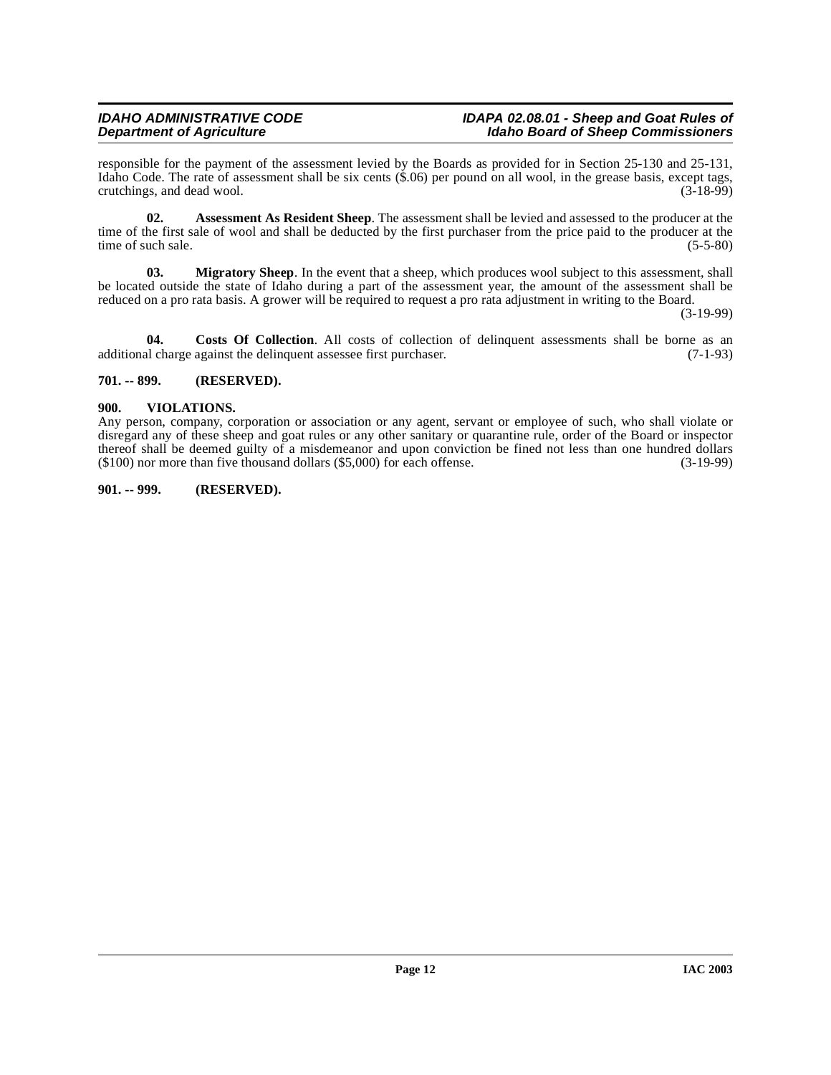#### **IDAHO ADMINISTRATIVE CODE IDAPA 02.08.01 - Sheep and Goat Rules of**<br>Idaho Board of Sheep Commissioners of Agriculture in the state of Sheep Commissioners **Idaho Board of Sheep Commissioners**

responsible for the payment of the assessment levied by the Boards as provided for in Section 25-130 and 25-131, Idaho Code. The rate of assessment shall be six cents  $(\hat{\mathbf{x}}.06)$  per pound on all wool, in the grease basis, except tags, crutchings, and dead wool. (3-18-99) crutchings, and dead wool.

<span id="page-11-3"></span>**02. Assessment As Resident Sheep**. The assessment shall be levied and assessed to the producer at the time of the first sale of wool and shall be deducted by the first purchaser from the price paid to the producer at the time of such sale. (5-5-80) time of such sale.

<span id="page-11-4"></span>**03. Migratory Sheep**. In the event that a sheep, which produces wool subject to this assessment, shall be located outside the state of Idaho during a part of the assessment year, the amount of the assessment shall be reduced on a pro rata basis. A grower will be required to request a pro rata adjustment in writing to the Board.

(3-19-99)

**04. Costs Of Collection**. All costs of collection of delinquent assessments shall be borne as an additional charge against the delinquent assessee first purchaser. (7-1-93)

# <span id="page-11-0"></span>**701. -- 899. (RESERVED).**

### <span id="page-11-5"></span><span id="page-11-1"></span>**900. VIOLATIONS.**

Any person, company, corporation or association or any agent, servant or employee of such, who shall violate or disregard any of these sheep and goat rules or any other sanitary or quarantine rule, order of the Board or inspector thereof shall be deemed guilty of a misdemeanor and upon conviction be fined not less than one hundred dollars (\$100) nor more than five thousand dollars (\$5,000) for each offense. (3-19-99)  $($100)$  nor more than five thousand dollars  $($5,000)$  for each offense.

#### <span id="page-11-2"></span>**901. -- 999. (RESERVED).**